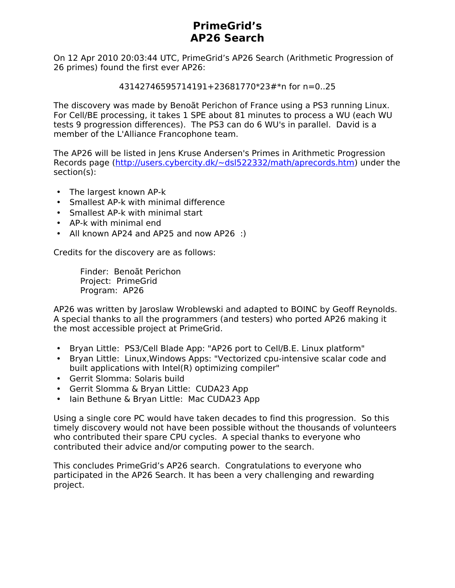# **PrimeGrid's AP26 Search**

On 12 Apr 2010 20:03:44 UTC, PrimeGrid's AP26 Search (Arithmetic Progression of 26 primes) found the first ever AP26:

43142746595714191+23681770\*23#\*n for n=0..25

The discovery was made by Benoãt Perichon of France using a PS3 running Linux. For Cell/BE processing, it takes 1 SPE about 81 minutes to process a WU (each WU tests 9 progression differences). The PS3 can do 6 WU's in parallel. David is a member of the L'Alliance Francophone team.

The AP26 will be listed in Jens Kruse Andersen's Primes in Arithmetic Progression Records page [\(http://users.cybercity.dk/~dsl522332/math/aprecords.htm\)](http://users.cybercity.dk/~dsl522332/math/aprecords.htm) under the section(s):

- The largest known AP-k
- Smallest AP-k with minimal difference
- Smallest AP-k with minimal start
- AP-k with minimal end
- All known AP24 and AP25 and now AP26 :)

Credits for the discovery are as follows:

Finder: Benoãt Perichon Project: PrimeGrid Program: AP26

AP26 was written by Jaroslaw Wroblewski and adapted to BOINC by Geoff Reynolds. A special thanks to all the programmers (and testers) who ported AP26 making it the most accessible project at PrimeGrid.

- Bryan Little: PS3/Cell Blade App: "AP26 port to Cell/B.E. Linux platform"
- Bryan Little: Linux,Windows Apps: "Vectorized cpu-intensive scalar code and built applications with Intel(R) optimizing compiler"
- Gerrit Slomma: Solaris build
- Gerrit Slomma & Bryan Little: CUDA23 App
- Iain Bethune & Bryan Little: Mac CUDA23 App

Using a single core PC would have taken decades to find this progression. So this timely discovery would not have been possible without the thousands of volunteers who contributed their spare CPU cycles. A special thanks to everyone who contributed their advice and/or computing power to the search.

This concludes PrimeGrid's AP26 search. Congratulations to everyone who participated in the AP26 Search. It has been a very challenging and rewarding project.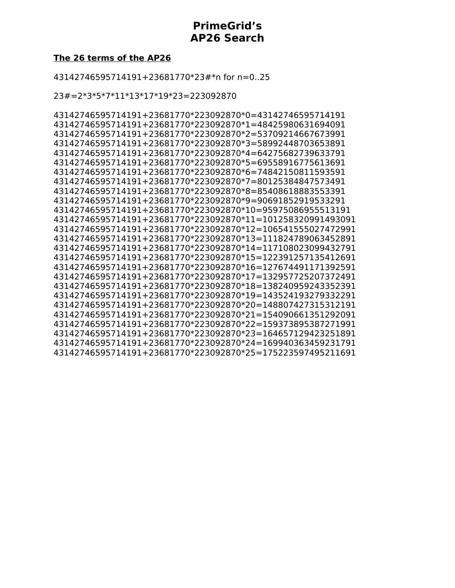### **PrimeGrid's AP26 Search**

### **The 26 terms of the AP26**

43142746595714191+23681770\*23#\*n for n=0..25

23#=2\*3\*5\*7\*11\*13\*17\*19\*23=223092870

43142746595714191+23681770\*223092870\*0=43142746595714191 43142746595714191+23681770\*223092870\*1=48425980631694091 43142746595714191+23681770\*223092870\*2=53709214667673991 43142746595714191+23681770\*223092870\*3=58992448703653891 43142746595714191+23681770\*223092870\*4=64275682739633791 43142746595714191+23681770\*223092870\*5=69558916775613691 43142746595714191+23681770\*223092870\*6=74842150811593591 43142746595714191+23681770\*223092870\*7=80125384847573491 43142746595714191+23681770\*223092870\*8=85408618883553391 43142746595714191+23681770\*223092870\*9=90691852919533291 43142746595714191+23681770\*223092870\*10=95975086955513191 43142746595714191+23681770\*223092870\*11=101258320991493091 43142746595714191+23681770\*223092870\*12=106541555027472991 43142746595714191+23681770\*223092870\*13=111824789063452891 43142746595714191+23681770\*223092870\*14=117108023099432791 43142746595714191+23681770\*223092870\*15=122391257135412691 43142746595714191+23681770\*223092870\*16=127674491171392591 43142746595714191+23681770\*223092870\*17=132957725207372491 43142746595714191+23681770\*223092870\*18=138240959243352391 43142746595714191+23681770\*223092870\*19=143524193279332291 43142746595714191+23681770\*223092870\*20=148807427315312191 43142746595714191+23681770\*223092870\*21=154090661351292091 43142746595714191+23681770\*223092870\*22=159373895387271991 43142746595714191+23681770\*223092870\*23=164657129423251891 43142746595714191+23681770\*223092870\*24=169940363459231791 43142746595714191+23681770\*223092870\*25=175223597495211691